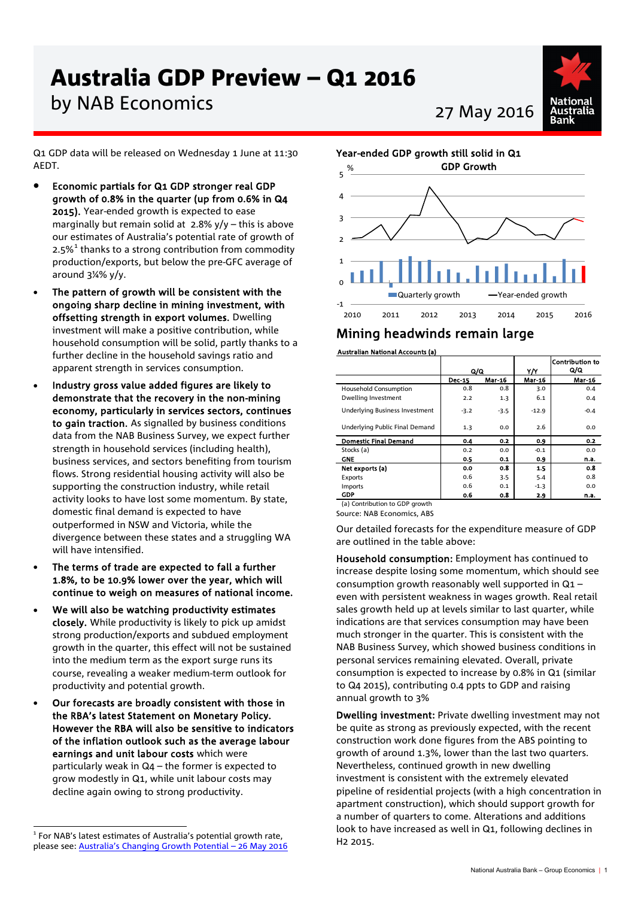# Australia GDP Preview – Q1 2016

# by NAB Economics 27 May 2016



Q1 GDP data will be released on Wednesday 1 June at 11:30 AEDT.

- Economic partials for Q1 GDP stronger real GDP growth of 0.8% in the quarter (up from 0.6% in Q4 2015). Year-ended growth is expected to ease marginally but remain solid at  $2.8\%$  y/y – this is above our estimates of Australia's potential rate of growth of 2.5% $1$  thanks to a strong contribution from commodity production/exports, but below the pre-GFC average of around 3¼% y/y.
- The pattern of growth will be consistent with the ongoing sharp decline in mining investment, with offsetting strength in export volumes. Dwelling investment will make a positive contribution, while household consumption will be solid, partly thanks to a further decline in the household savings ratio and apparent strength in services consumption.
- Industry gross value added figures are likely to demonstrate that the recovery in the non-mining economy, particularly in services sectors, continues to gain traction. As signalled by business conditions data from the NAB Business Survey, we expect further strength in household services (including health), business services, and sectors benefiting from tourism flows. Strong residential housing activity will also be supporting the construction industry, while retail activity looks to have lost some momentum. By state, domestic final demand is expected to have outperformed in NSW and Victoria, while the divergence between these states and a struggling WA will have intensified.
- The terms of trade are expected to fall a further 1.8%, to be 10.9% lower over the year, which will continue to weigh on measures of national income.
- We will also be watching productivity estimates closely. While productivity is likely to pick up amidst strong production/exports and subdued employment growth in the quarter, this effect will not be sustained into the medium term as the export surge runs its course, revealing a weaker medium-term outlook for productivity and potential growth.
- Our forecasts are broadly consistent with those in the RBA's latest Statement on Monetary Policy. However the RBA will also be sensitive to indicators of the inflation outlook such as the average labour earnings and unit labour costs which were particularly weak in Q4 – the former is expected to grow modestly in Q1, while unit labour costs may decline again owing to strong productivity.



# Mining headwinds remain large

## Australian National Accounts (a)

|                                       | Q/Q           |        | Y/Y     | <b>Contribution to</b><br>Q/Q |
|---------------------------------------|---------------|--------|---------|-------------------------------|
|                                       | <b>Dec-15</b> | Mar-16 | Mar-16  | <b>Mar-16</b>                 |
| <b>Household Consumption</b>          | 0.8           | 0.8    | 3.0     | 0.4                           |
| Dwelling Investment                   | 2.2           | 1.3    | 6.1     | 0.4                           |
| <b>Underlying Business Investment</b> | $-3.2$        | $-3.5$ | $-12.9$ | $-0.4$                        |
| Underlying Public Final Demand        | 1.3           | 0.0    | 2.6     | 0.0                           |
| <b>Domestic Final Demand</b>          | 0.4           | 0.2    | 0.9     | 0.2                           |
| Stocks (a)                            | 0.2           | 0.0    | $-0.1$  | 0.0                           |
| <b>GNE</b>                            | 0.5           | 0.1    | 0.9     | n.a.                          |
| Net exports (a)                       | 0.0           | 0.8    | 1.5     | 0.8                           |
| Exports                               | 0.6           | 3.5    | 5.4     | 0.8                           |
| Imports                               | 0.6           | 0.1    | $-1.3$  | 0.0                           |
| <b>GDP</b>                            | 0.6           | 0.8    | 2.9     | n.a.                          |
| (a) Contribution to GDP growth        |               |        |         |                               |

Source: NAB Economics, ABS

Our detailed forecasts for the expenditure measure of GDP are outlined in the table above:

Household consumption: Employment has continued to increase despite losing some momentum, which should see consumption growth reasonably well supported in Q1 – even with persistent weakness in wages growth. Real retail sales growth held up at levels similar to last quarter, while indications are that services consumption may have been much stronger in the quarter. This is consistent with the NAB Business Survey, which showed business conditions in personal services remaining elevated. Overall, private consumption is expected to increase by 0.8% in Q1 (similar to Q4 2015), contributing 0.4 ppts to GDP and raising annual growth to 3%

Dwelling investment: Private dwelling investment may not be quite as strong as previously expected, with the recent construction work done figures from the ABS pointing to growth of around 1.3%, lower than the last two quarters. Nevertheless, continued growth in new dwelling investment is consistent with the extremely elevated pipeline of residential projects (with a high concentration in apartment construction), which should support growth for a number of quarters to come. Alterations and additions look to have increased as well in Q1, following declines in H2 2015.

<span id="page-0-0"></span> $1$  For NAB's latest estimates of Australia's potential growth rate. please see: [Australia's Changing Growth Potential – 26 May 2016](http://business.nab.com.au/australias-changing-growth-potential-26-may-2016-16983/)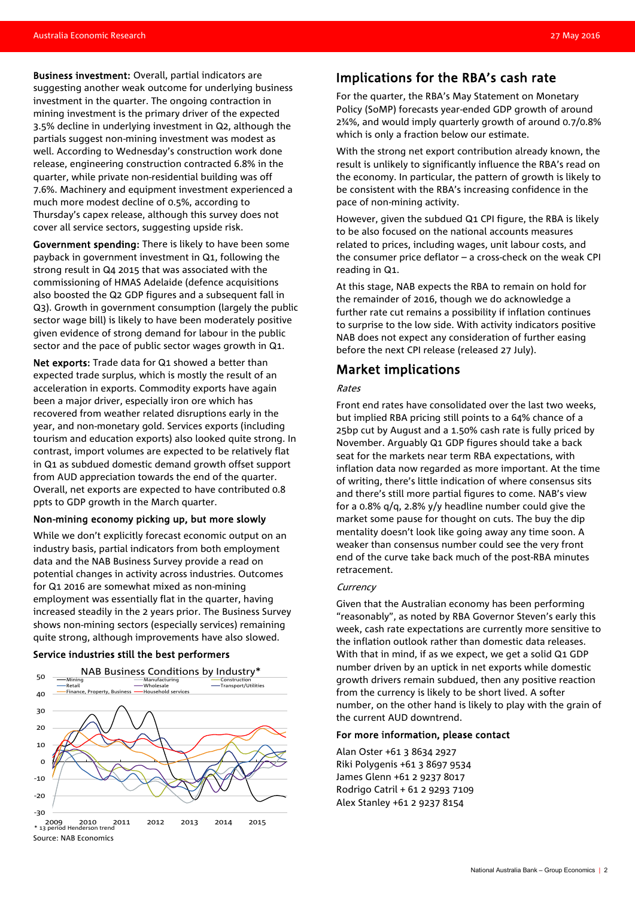Business investment: Overall, partial indicators are suggesting another weak outcome for underlying business investment in the quarter. The ongoing contraction in mining investment is the primary driver of the expected 3.5% decline in underlying investment in Q2, although the partials suggest non-mining investment was modest as well. According to Wednesday's construction work done release, engineering construction contracted 6.8% in the quarter, while private non-residential building was off 7.6%. Machinery and equipment investment experienced a much more modest decline of 0.5%, according to Thursday's capex release, although this survey does not cover all service sectors, suggesting upside risk.

Government spending: There is likely to have been some payback in government investment in Q1, following the strong result in Q4 2015 that was associated with the commissioning of HMAS Adelaide (defence acquisitions also boosted the Q2 GDP figures and a subsequent fall in Q3). Growth in government consumption (largely the public sector wage bill) is likely to have been moderately positive given evidence of strong demand for labour in the public sector and the pace of public sector wages growth in Q1.

Net exports: Trade data for Q1 showed a better than expected trade surplus, which is mostly the result of an acceleration in exports. Commodity exports have again been a major driver, especially iron ore which has recovered from weather related disruptions early in the year, and non-monetary gold. Services exports (including tourism and education exports) also looked quite strong. In contrast, import volumes are expected to be relatively flat in Q1 as subdued domestic demand growth offset support from AUD appreciation towards the end of the quarter. Overall, net exports are expected to have contributed 0.8 ppts to GDP growth in the March quarter.

#### Non-mining economy picking up, but more slowly

While we don't explicitly forecast economic output on an industry basis, partial indicators from both employment data and the NAB Business Survey provide a read on potential changes in activity across industries. Outcomes for Q1 2016 are somewhat mixed as non-mining employment was essentially flat in the quarter, having increased steadily in the 2 years prior. The Business Survey shows non-mining sectors (especially services) remaining quite strong, although improvements have also slowed.

#### Service industries still the best performers



## Implications for the RBA's cash rate

For the quarter, the RBA's May Statement on Monetary Policy (SoMP) forecasts year-ended GDP growth of around 2¾%, and would imply quarterly growth of around 0.7/0.8% which is only a fraction below our estimate.

With the strong net export contribution already known, the result is unlikely to significantly influence the RBA's read on the economy. In particular, the pattern of growth is likely to be consistent with the RBA's increasing confidence in the pace of non-mining activity.

However, given the subdued Q1 CPI figure, the RBA is likely to be also focused on the national accounts measures related to prices, including wages, unit labour costs, and the consumer price deflator – a cross-check on the weak CPI reading in Q1.

At this stage, NAB expects the RBA to remain on hold for the remainder of 2016, though we do acknowledge a further rate cut remains a possibility if inflation continues to surprise to the low side. With activity indicators positive NAB does not expect any consideration of further easing before the next CPI release (released 27 July).

# Market implications

#### Rates

Front end rates have consolidated over the last two weeks, but implied RBA pricing still points to a 64% chance of a 25bp cut by August and a 1.50% cash rate is fully priced by November. Arguably Q1 GDP figures should take a back seat for the markets near term RBA expectations, with inflation data now regarded as more important. At the time of writing, there's little indication of where consensus sits and there's still more partial figures to come. NAB's view for a 0.8% q/q, 2.8% y/y headline number could give the market some pause for thought on cuts. The buy the dip mentality doesn't look like going away any time soon. A weaker than consensus number could see the very front end of the curve take back much of the post-RBA minutes retracement.

#### **Currency**

Given that the Australian economy has been performing "reasonably", as noted by RBA Governor Steven's early this week, cash rate expectations are currently more sensitive to the inflation outlook rather than domestic data releases. With that in mind, if as we expect, we get a solid Q1 GDP number driven by an uptick in net exports while domestic growth drivers remain subdued, then any positive reaction from the currency is likely to be short lived. A softer number, on the other hand is likely to play with the grain of the current AUD downtrend.

#### For more information, please contact

Alan Oster +61 3 8634 2927 Riki Polygenis +61 3 8697 9534 James Glenn +61 2 9237 8017 Rodrigo Catril + 61 2 9293 7109 Alex Stanley +61 2 9237 8154